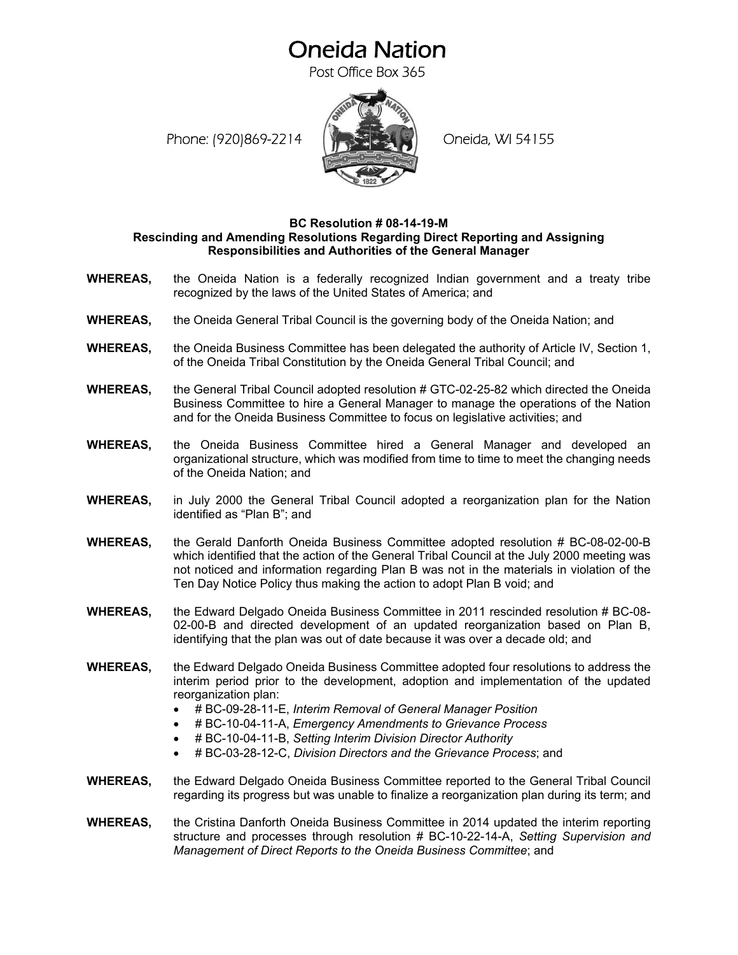## Oneida Nation

Post Office Box 365

Phone: (920)869-2214 (Netset Bang Coneida, WI 54155



## **BC Resolution # 08-14-19-M Rescinding and Amending Resolutions Regarding Direct Reporting and Assigning Responsibilities and Authorities of the General Manager**

- **WHEREAS,** the Oneida Nation is a federally recognized Indian government and a treaty tribe recognized by the laws of the United States of America; and
- **WHEREAS,** the Oneida General Tribal Council is the governing body of the Oneida Nation; and
- **WHEREAS,** the Oneida Business Committee has been delegated the authority of Article IV, Section 1, of the Oneida Tribal Constitution by the Oneida General Tribal Council; and
- **WHEREAS,** the General Tribal Council adopted resolution # GTC-02-25-82 which directed the Oneida Business Committee to hire a General Manager to manage the operations of the Nation and for the Oneida Business Committee to focus on legislative activities; and
- **WHEREAS,** the Oneida Business Committee hired a General Manager and developed an organizational structure, which was modified from time to time to meet the changing needs of the Oneida Nation; and
- **WHEREAS,** in July 2000 the General Tribal Council adopted a reorganization plan for the Nation identified as "Plan B"; and
- **WHEREAS,** the Gerald Danforth Oneida Business Committee adopted resolution # BC-08-02-00-B which identified that the action of the General Tribal Council at the July 2000 meeting was not noticed and information regarding Plan B was not in the materials in violation of the Ten Day Notice Policy thus making the action to adopt Plan B void; and
- **WHEREAS,** the Edward Delgado Oneida Business Committee in 2011 rescinded resolution # BC-08- 02-00-B and directed development of an updated reorganization based on Plan B, identifying that the plan was out of date because it was over a decade old; and
- **WHEREAS,** the Edward Delgado Oneida Business Committee adopted four resolutions to address the interim period prior to the development, adoption and implementation of the updated reorganization plan:
	- # BC-09-28-11-E, *Interim Removal of General Manager Position*
	- # BC-10-04-11-A, *Emergency Amendments to Grievance Process*
	- # BC-10-04-11-B, *Setting Interim Division Director Authority*
	- # BC-03-28-12-C, *Division Directors and the Grievance Process*; and
- **WHEREAS,** the Edward Delgado Oneida Business Committee reported to the General Tribal Council regarding its progress but was unable to finalize a reorganization plan during its term; and
- **WHEREAS,** the Cristina Danforth Oneida Business Committee in 2014 updated the interim reporting structure and processes through resolution # BC-10-22-14-A, *Setting Supervision and Management of Direct Reports to the Oneida Business Committee*; and